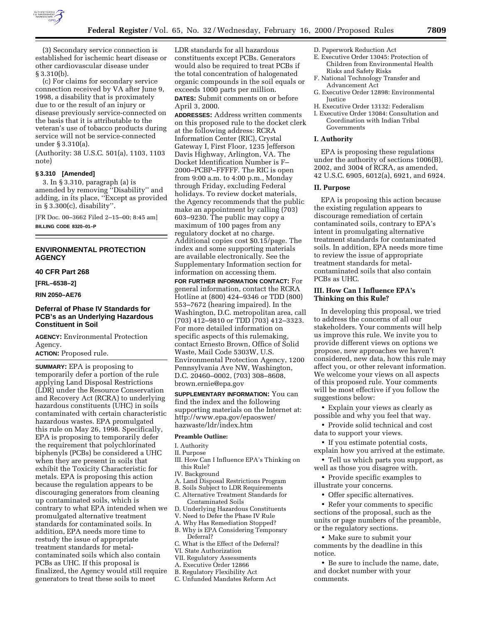

(3) Secondary service connection is established for ischemic heart disease or other cardiovascular disease under § 3.310(b).

(c) For claims for secondary service connection received by VA after June 9, 1998, a disability that is proximately due to or the result of an injury or disease previously service-connected on the basis that it is attributable to the veteran's use of tobacco products during service will not be service-connected under § 3.310(a).

(Authority: 38 U.S.C. 501(a), 1103, 1103 note)

#### **§ 3.310 [Amended]**

3. In § 3.310, paragraph (a) is amended by removing ''Disability'' and adding, in its place, ''Except as provided in § 3.300(c), disability''.

[FR Doc. 00–3662 Filed 2–15–00; 8:45 am]

**BILLING CODE 8320–01–P**

# **ENVIRONMENTAL PROTECTION AGENCY**

# **40 CFR Part 268**

**[FRL–6538–2]**

**RIN 2050–AE76**

# **Deferral of Phase IV Standards for PCB's as an Underlying Hazardous Constituent in Soil**

**AGENCY:** Environmental Protection Agency.

**ACTION:** Proposed rule.

**SUMMARY:** EPA is proposing to temporarily defer a portion of the rule applying Land Disposal Restrictions (LDR) under the Resource Conservation and Recovery Act (RCRA) to underlying hazardous constituents (UHC) in soils contaminated with certain characteristic hazardous wastes. EPA promulgated this rule on May 26, 1998. Specifically, EPA is proposing to temporarily defer the requirement that polychlorinated biphenyls (PCBs) be considered a UHC when they are present in soils that exhibit the Toxicity Characteristic for metals. EPA is proposing this action because the regulation appears to be discouraging generators from cleaning up contaminated soils, which is contrary to what EPA intended when we promulgated alternative treatment standards for contaminated soils. In addition, EPA needs more time to restudy the issue of appropriate treatment standards for metalcontaminated soils which also contain PCBs as UHC. If this proposal is finalized, the Agency would still require generators to treat these soils to meet

LDR standards for all hazardous constituents except PCBs. Generators would also be required to treat PCBs if the total concentration of halogenated organic compounds in the soil equals or exceeds 1000 parts per million. **DATES:** Submit comments on or before April 3, 2000.

**ADDRESSES:** Address written comments on this proposed rule to the docket clerk at the following address: RCRA Information Center (RIC), Crystal Gateway I, First Floor, 1235 Jefferson Davis Highway, Arlington, VA. The Docket Identification Number is F– 2000–PCBP–FFFFF. The RIC is open from 9:00 a.m. to 4:00 p.m., Monday through Friday, excluding Federal holidays. To review docket materials, the Agency recommends that the public make an appointment by calling (703) 603–9230. The public may copy a maximum of 100 pages from any regulatory docket at no charge. Additional copies cost \$0.15/page. The index and some supporting materials are available electronically. See the Supplementary Information section for information on accessing them.

**FOR FURTHER INFORMATION CONTACT:** For general information, contact the RCRA Hotline at (800) 424–9346 or TDD (800) 553–7672 (hearing impaired). In the Washington, D.C. metropolitan area, call (703) 412–9810 or TDD (703) 412–3323. For more detailed information on specific aspects of this rulemaking, contact Ernesto Brown, Office of Solid Waste, Mail Code 5303W, U.S. Environmental Protection Agency, 1200 Pennsylvania Ave NW, Washington, D.C. 20460–0002, (703) 308–8608, brown.ernie@epa.gov

**SUPPLEMENTARY INFORMATION:** You can find the index and the following supporting materials on the Internet at: http://www.epa.gov/epaoswer/ hazwaste/ldr/index.htm

## **Preamble Outline:**

I. Authority

II. Purpose

- III. How Can I Influence EPA's Thinking on this Rule?
- IV. Background
- A. Land Disposal Restrictions Program
- B. Soils Subject to LDR Requirements
- C. Alternative Treatment Standards for Contaminated Soils
- D. Underlying Hazardous Constituents
- V. Need to Defer the Phase IV Rule
- A. Why Has Remediation Stopped?
- B. Why is EPA Considering Temporary Deferral?
- C. What is the Effect of the Deferral?
- VI. State Authorization
- VII. Regulatory Assessments
- A. Executive Order 12866
- B. Regulatory Flexibility Act
- C. Unfunded Mandates Reform Act
- D. Paperwork Reduction Act
- E. Executive Order 13045: Protection of Children from Environmental Health Risks and Safety Risks
- F. National Technology Transfer and Advancement Act
- G. Executive Order 12898: Environmental **Justice**
- H. Executive Order 13132: Federalism
- I. Executive Order 13084: Consultation and Coordination with Indian Tribal Governments

### **I. Authority**

EPA is proposing these regulations under the authority of sections 1006(B), 2002, and 3004 of RCRA, as amended, 42 U.S.C. 6905, 6012(a), 6921, and 6924.

#### **II. Purpose**

EPA is proposing this action because the existing regulation appears to discourage remediation of certain contaminated soils, contrary to EPA's intent in promulgating alternative treatment standards for contaminated soils. In addition, EPA needs more time to review the issue of appropriate treatment standards for metalcontaminated soils that also contain PCBs as UHC.

## **III. How Can I Influence EPA's Thinking on this Rule?**

In developing this proposal, we tried to address the concerns of all our stakeholders. Your comments will help us improve this rule. We invite you to provide different views on options we propose, new approaches we haven't considered, new data, how this rule may affect you, or other relevant information. We welcome your views on all aspects of this proposed rule. Your comments will be most effective if you follow the suggestions below:

• Explain your views as clearly as possible and why you feel that way.

• Provide solid technical and cost data to support your views.

• If you estimate potential costs, explain how you arrived at the estimate.

• Tell us which parts you support, as well as those you disagree with.

• Provide specific examples to illustrate your concerns.

• Offer specific alternatives.

• Refer your comments to specific sections of the proposal, such as the units or page numbers of the preamble, or the regulatory sections.

• Make sure to submit your comments by the deadline in this notice.

• Be sure to include the name, date, and docket number with your comments.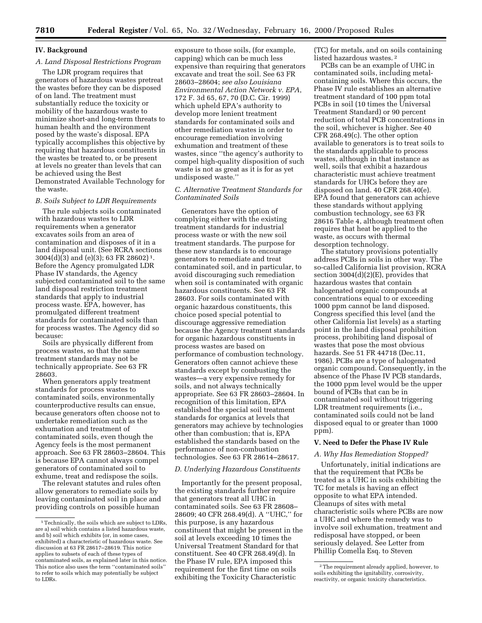## **IV. Background**

### *A. Land Disposal Restrictions Program*

The LDR program requires that generators of hazardous wastes pretreat the wastes before they can be disposed of on land. The treatment must substantially reduce the toxicity or mobility of the hazardous waste to minimize short-and long-term threats to human health and the environment posed by the waste's disposal. EPA typically accomplishes this objective by requiring that hazardous constituents in the wastes be treated to, or be present at levels no greater than levels that can be achieved using the Best Demonstrated Available Technology for the waste.

#### *B. Soils Subject to LDR Requirements*

The rule subjects soils contaminated with hazardous wastes to LDR requirements when a generator excavates soils from an area of contamination and disposes of it in a land disposal unit. (See RCRA sections 3004(d)(3) and (e)(3); 63 FR 28602) 1. Before the Agency promulgated LDR Phase IV standards, the Agency subjected contaminated soil to the same land disposal restriction treatment standards that apply to industrial process waste. EPA, however, has promulgated different treatment standards for contaminated soils than for process wastes. The Agency did so because:

Soils are physically different from process wastes, so that the same treatment standards may not be technically appropriate. See 63 FR 28603.

When generators apply treatment standards for process wastes to contaminated soils, environmentally counterproductive results can ensue, because generators often choose not to undertake remediation such as the exhumation and treatment of contaminated soils, even though the Agency feels is the most permanent approach. See 63 FR 28603–28604. This is because EPA cannot always compel generators of contaminated soil to exhume, treat and redispose the soils.

The relevant statutes and rules often allow generators to remediate soils by leaving contaminated soil in place and providing controls on possible human

exposure to those soils, (for example, capping) which can be much less expensive than requiring that generators excavate and treat the soil. See 63 FR 28603–28604; *see also Louisiana Environmental Action Network v. EPA*, 172 F. 3d 65, 67, 70 (D.C. Cir. 1999) which upheld EPA's authority to develop more lenient treatment standards for contaminated soils and other remediation wastes in order to encourage remediation involving exhumation and treatment of these wastes, since ''the agency's authority to compel high-quality disposition of such waste is not as great as it is for as yet undisposed waste.''

## *C. Alternative Treatment Standards for Contaminated Soils*

Generators have the option of complying either with the existing treatment standards for industrial process waste or with the new soil treatment standards. The purpose for these new standards is to encourage generators to remediate and treat contaminated soil, and in particular, to avoid discouraging such remediation when soil is contaminated with organic hazardous constituents. See 63 FR 28603. For soils contaminated with organic hazardous constituents, this choice posed special potential to discourage aggressive remediation because the Agency treatment standards for organic hazardous constituents in process wastes are based on performance of combustion technology. Generators often cannot achieve these standards except by combusting the wastes—a very expensive remedy for soils, and not always technically appropriate. See 63 FR 28603–28604. In recognition of this limitation, EPA established the special soil treatment standards for organics at levels that generators may achieve by technologies other than combustion; that is, EPA established the standards based on the performance of non-combustion technologies. See 63 FR 28614–28617.

### *D. Underlying Hazardous Constituents*

Importantly for the present proposal, the existing standards further require that generators treat all UHC in contaminated soils. See 63 FR 28608– 28609; 40 CFR 268.49(d). A ''UHC,'' for this purpose, is any hazardous constituent that might be present in the soil at levels exceeding 10 times the Universal Treatment Standard for that constituent. See 40 CFR 268.49(d). In the Phase IV rule, EPA imposed this requirement for the first time on soils exhibiting the Toxicity Characteristic

(TC) for metals, and on soils containing listed hazardous wastes. 2

PCBs can be an example of UHC in contaminated soils, including metalcontaining soils. Where this occurs, the Phase IV rule establishes an alternative treatment standard of 100 ppm total PCBs in soil (10 times the Universal Treatment Standard) or 90 percent reduction of total PCB concentrations in the soil, whichever is higher. See 40 CFR 268.49(c). The other option available to generators is to treat soils to the standards applicable to process wastes, although in that instance as well, soils that exhibit a hazardous characteristic must achieve treatment standards for UHCs before they are disposed on land. 40 CFR 268.40(e). EPA found that generators can achieve these standards without applying combustion technology, see 63 FR 28616 Table 4, although treatment often requires that heat be applied to the waste, as occurs with thermal desorption technology.

The statutory provisions potentially address PCBs in soils in other way. The so-called California list provision, RCRA section  $3004(d)(2)(E)$ , provides that hazardous wastes that contain halogenated organic compounds at concentrations equal to or exceeding 1000 ppm cannot be land disposed. Congress specified this level (and the other California list levels) as a starting point in the land disposal prohibition process, prohibiting land disposal of wastes that pose the most obvious hazards. See 51 FR 44718 (Dec.11, 1986). PCBs are a type of halogenated organic compound. Consequently, in the absence of the Phase IV PCB standards, the 1000 ppm level would be the upper bound of PCBs that can be in contaminated soil without triggering LDR treatment requirements (i.e., contaminated soils could not be land disposed equal to or greater than 1000 ppm).

#### **V. Need to Defer the Phase IV Rule**

## *A. Why Has Remediation Stopped?*

Unfortunately, initial indications are that the requirement that PCBs be treated as a UHC in soils exhibiting the TC for metals is having an effect opposite to what EPA intended. Cleanups of sites with metal characteristic soils where PCBs are now a UHC and where the remedy was to involve soil exhumation, treatment and redisposal have stopped, or been seriously delayed. See Letter from Phillip Comella Esq. to Steven

<sup>&</sup>lt;sup>1</sup>Technically, the soils which are subject to LDRs, are a) soil which contains a listed hazardous waste, and b) soil which exhibits (or, in some cases, exhibited) a characteristic of hazardous waste. See discussion at 63 FR 28617–28619. This notice applies to subsets of each of these types of contaminated soils, as explained later in this notice. This notice also uses the term ''contaminated soils'' to refer to soils which may potentially be subject to LDRs.

<sup>2</sup>The requirement already applied, however, to soils exhibiting the ignitability, corrosivity, reactivity, or organic toxicity characteristics.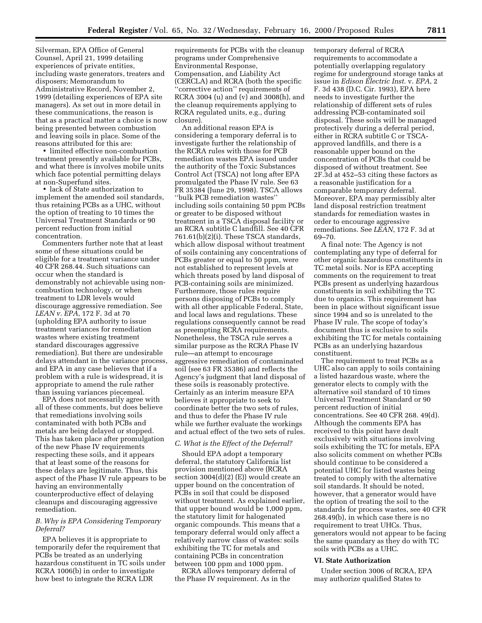Silverman, EPA Office of General Counsel, April 21, 1999 detailing experiences of private entities, including waste generators, treaters and disposers; Memorandum to Administrative Record, November 2, 1999 (detailing experiences of EPA site managers). As set out in more detail in these communications, the reason is that as a practical matter a choice is now being presented between combustion and leaving soils in place. Some of the reasons attributed for this are:

• limited effective non-combustion treatment presently available for PCBs, and what there is involves mobile units which face potential permitting delays at non-Superfund sites.

• lack of State authorization to implement the amended soil standards, thus retaining PCBs as a UHC, without the option of treating to 10 times the Universal Treatment Standards or 90 percent reduction from initial concentration.

Commenters further note that at least some of these situations could be eligible for a treatment variance under 40 CFR 268.44. Such situations can occur when the standard is demonstrably not achievable using noncombustion technology, or when treatment to LDR levels would discourage aggressive remediation. See *LEAN v. EPA*, 172 F. 3d at 70 (upholding EPA authority to issue treatment variances for remediation wastes where existing treatment standard discourages aggressive remediation). But there are undesirable delays attendant in the variance process, and EPA in any case believes that if a problem with a rule is widespread, it is appropriate to amend the rule rather than issuing variances piecemeal.

EPA does not necessarily agree with all of these comments, but does believe that remediations involving soils contaminated with both PCBs and metals are being delayed or stopped. This has taken place after promulgation of the new Phase IV requirements respecting these soils, and it appears that at least some of the reasons for these delays are legitimate. Thus, this aspect of the Phase IV rule appears to be having an environmentally counterproductive effect of delaying cleanups and discouraging aggressive remediation.

# *B. Why is EPA Considering Temporary Deferral?*

EPA believes it is appropriate to temporarily defer the requirement that PCBs be treated as an underlying hazardous constituent in TC soils under RCRA 1006(b) in order to investigate how best to integrate the RCRA LDR

requirements for PCBs with the cleanup programs under Comprehensive Environmental Response, Compensation, and Liability Act (CERCLA) and RCRA (both the specific ''corrective action'' requirements of RCRA 3004 (u) and (v) and 3008(h), and the cleanup requirements applying to RCRA regulated units, e.g., during closure).

An additional reason EPA is considering a temporary deferral is to investigate further the relationship of the RCRA rules with those for PCB remediation wastes EPA issued under the authority of the Toxic Substances Control Act (TSCA) not long after EPA promulgated the Phase IV rule. See 63 FR 35384 (June 29, 1998). TSCA allows ''bulk PCB remediation wastes'' including soils containing 50 ppm PCBs or greater to be disposed without treatment in a TSCA disposal facility or an RCRA subtitle C landfill. See 40 CFR 761.61(b)(2)(i). These TSCA standards, which allow disposal without treatment of soils containing any concentrations of PCBs greater or equal to 50 ppm, were not established to represent levels at which threats posed by land disposal of PCB-containing soils are minimized. Furthermore, those rules require persons disposing of PCBs to comply with all other applicable Federal, State, and local laws and regulations. These regulations consequently cannot be read as preempting RCRA requirements. Nonetheless, the TSCA rule serves a similar purpose as the RCRA Phase IV rule—an attempt to encourage aggressive remediation of contaminated soil (see 63 FR 35386) and reflects the Agency's judgment that land disposal of these soils is reasonably protective. Certainly as an interim measure EPA believes it appropriate to seek to coordinate better the two sets of rules, and thus to defer the Phase IV rule while we further evaluate the workings and actual effect of the two sets of rules.

#### *C. What is the Effect of the Deferral?*

Should EPA adopt a temporary deferral, the statutory California list provision mentioned above (RCRA section  $3004(d)(2)$  (E)) would create an upper bound on the concentration of PCBs in soil that could be disposed without treatment. As explained earlier, that upper bound would be 1,000 ppm, the statutory limit for halogenated organic compounds. This means that a temporary deferral would only affect a relatively narrow class of wastes: soils exhibiting the TC for metals and containing PCBs in concentration between 100 ppm and 1000 ppm.

RCRA allows temporary deferral of the Phase IV requirement. As in the

temporary deferral of RCRA requirements to accommodate a potentially overlapping regulatory regime for underground storage tanks at issue in *Edison Electric Inst.* v. *EPA*, 2 F. 3d 438 (D.C. Cir. 1993), EPA here needs to investigate further the relationship of different sets of rules addressing PCB-contaminated soil disposal. These soils will be managed protectively during a deferral period, either in RCRA subtitle C or TSCAapproved landfills, and there is a reasonable upper bound on the concentration of PCBs that could be disposed of without treatment. See 2F.3d at 452–53 citing these factors as a reasonable justification for a comparable temporary deferral. Moreover, EPA may permissibly alter land disposal restriction treatment standards for remediation wastes in order to encourage aggressive remediations. See *LEAN*, 172 F. 3d at 69–70.

A final note: The Agency is not contemplating any type of deferral for other organic hazardous constituents in TC metal soils. Nor is EPA accepting comments on the requirement to treat PCBs present as underlying hazardous constituents in soil exhibiting the TC due to organics. This requirement has been in place without significant issue since 1994 and so is unrelated to the Phase IV rule. The scope of today's document thus is exclusive to soils exhibiting the TC for metals containing PCBs as an underlying hazardous constituent.

The requirement to treat PCBs as a UHC also can apply to soils containing a listed hazardous waste, where the generator elects to comply with the alternative soil standard of 10 times Universal Treatment Standard or 90 percent reduction of initial concentrations. See 40 CFR 268. 49(d). Although the comments EPA has received to this point have dealt exclusively with situations involving soils exhibiting the TC for metals, EPA also solicits comment on whether PCBs should continue to be considered a potential UHC for listed wastes being treated to comply with the alternative soil standards. It should be noted, however, that a generator would have the option of treating the soil to the standards for process wastes, see 40 CFR 268.49(b), in which case there is no requirement to treat UHCs. Thus, generators would not appear to be facing the same quandary as they do with TC soils with PCBs as a UHC.

## **VI. State Authorization**

Under section 3006 of RCRA, EPA may authorize qualified States to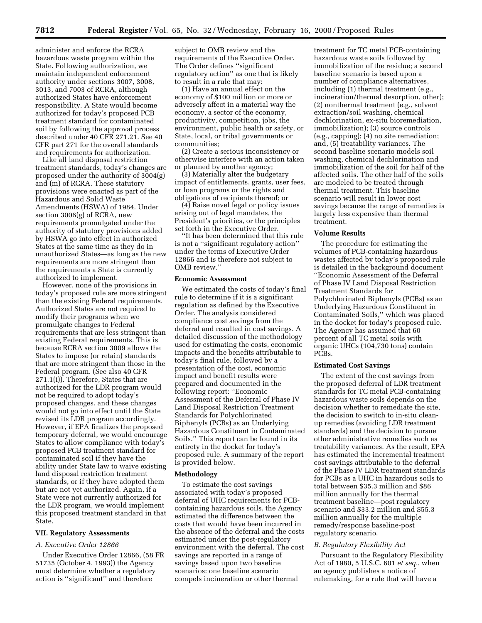administer and enforce the RCRA hazardous waste program within the State. Following authorization, we maintain independent enforcement authority under sections 3007, 3008, 3013, and 7003 of RCRA, although authorized States have enforcement responsibility. A State would become authorized for today's proposed PCB treatment standard for contaminated soil by following the approval process described under 40 CFR 271.21. See 40 CFR part 271 for the overall standards and requirements for authorization.

Like all land disposal restriction treatment standards, today's changes are proposed under the authority of 3004(g) and (m) of RCRA. These statutory provisions were enacted as part of the Hazardous and Solid Waste Amendments (HSWA) of 1984. Under section 3006(g) of RCRA, new requirements promulgated under the authority of statutory provisions added by HSWA go into effect in authorized States at the same time as they do in unauthorized States—as long as the new requirements are more stringent than the requirements a State is currently authorized to implement.

However, none of the provisions in today's proposed rule are more stringent than the existing Federal requirements. Authorized States are not required to modify their programs when we promulgate changes to Federal requirements that are less stringent than existing Federal requirements. This is because RCRA section 3009 allows the States to impose (or retain) standards that are more stringent than those in the Federal program. (See also 40 CFR 271.1(i)). Therefore, States that are authorized for the LDR program would not be required to adopt today's proposed changes, and these changes would not go into effect until the State revised its LDR program accordingly. However, if EPA finalizes the proposed temporary deferral, we would encourage States to allow compliance with today's proposed PCB treatment standard for contaminated soil if they have the ability under State law to waive existing land disposal restriction treatment standards, or if they have adopted them but are not yet authorized. Again, if a State were not currently authorized for the LDR program, we would implement this proposed treatment standard in that State.

#### **VII. Regulatory Assessments**

# *A. Executive Order 12866*

Under Executive Order 12866, (58 FR 51735 (October 4, 1993)) the Agency must determine whether a regulatory action is ''significant'' and therefore

subject to OMB review and the requirements of the Executive Order. The Order defines ''significant regulatory action'' as one that is likely to result in a rule that may:

(1) Have an annual effect on the economy of \$100 million or more or adversely affect in a material way the economy, a sector of the economy, productivity, competition, jobs, the environment, public health or safety, or State, local, or tribal governments or communities;

(2) Create a serious inconsistency or otherwise interfere with an action taken or planned by another agency;

(3) Materially alter the budgetary impact of entitlements, grants, user fees, or loan programs or the rights and obligations of recipients thereof; or

(4) Raise novel legal or policy issues arising out of legal mandates, the President's priorities, or the principles set forth in the Executive Order.

''It has been determined that this rule is not a ''significant regulatory action'' under the terms of Executive Order 12866 and is therefore not subject to OMB review.''

#### **Economic Assessment**

We estimated the costs of today's final rule to determine if it is a significant regulation as defined by the Executive Order. The analysis considered compliance cost savings from the deferral and resulted in cost savings. A detailed discussion of the methodology used for estimating the costs, economic impacts and the benefits attributable to today's final rule, followed by a presentation of the cost, economic impact and benefit results were prepared and documented in the following report: ''Economic Assessment of the Deferral of Phase IV Land Disposal Restriction Treatment Standards for Polychlorinated Biphenyls (PCBs) as an Underlying Hazardous Constituent in Contaminated Soils.'' This report can be found in its entirety in the docket for today's proposed rule. A summary of the report is provided below.

## **Methodology**

To estimate the cost savings associated with today's proposed deferral of UHC requirements for PCBcontaining hazardous soils, the Agency estimated the difference between the costs that would have been incurred in the absence of the deferral and the costs estimated under the post-regulatory environment with the deferral. The cost savings are reported in a range of savings based upon two baseline scenarios: one baseline scenario compels incineration or other thermal

treatment for TC metal PCB-containing hazardous waste soils followed by immobilization of the residue; a second baseline scenario is based upon a number of compliance alternatives, including (1) thermal treatment (e.g., incineration/thermal desorption, other); (2) nonthermal treatment (e.g., solvent extraction/soil washing, chemical dechlorination, ex-situ bioremediation, immobilization); (3) source controls (e.g., capping); (4) no site remediation; and, (5) treatability variances. The second baseline scenario models soil washing, chemical dechlorination and immobilization of the soil for half of the affected soils. The other half of the soils are modeled to be treated through thermal treatment. This baseline scenario will result in lower cost savings because the range of remedies is largely less expensive than thermal treatment.

#### **Volume Results**

The procedure for estimating the volumes of PCB-containing hazardous wastes affected by today's proposed rule is detailed in the background document ''Economic Assessment of the Deferral of Phase IV Land Disposal Restriction Treatment Standards for Polychlorinated Biphenyls (PCBs) as an Underlying Hazardous Constituent in Contaminated Soils,'' which was placed in the docket for today's proposed rule. The Agency has assumed that 60 percent of all TC metal soils with organic UHCs (104,730 tons) contain PCBs.

#### **Estimated Cost Savings**

The extent of the cost savings from the proposed deferral of LDR treatment standards for TC metal PCB-containing hazardous waste soils depends on the decision whether to remediate the site, the decision to switch to in-situ cleanup remedies (avoiding LDR treatment standards) and the decision to pursue other administrative remedies such as treatability variances. As the result, EPA has estimated the incremental treatment cost savings attributable to the deferral of the Phase IV LDR treatment standards for PCBs as a UHC in hazardous soils to total between \$35.3 million and \$86 million annually for the thermal treatment baseline—post regulatory scenario and \$33.2 million and \$55.3 million annually for the multiple remedy/response baseline-post regulatory scenario.

#### *B. Regulatory Flexibility Act*

Pursuant to the Regulatory Flexibility Act of 1980, 5 U.S.C. 601 *et seq.*, when an agency publishes a notice of rulemaking, for a rule that will have a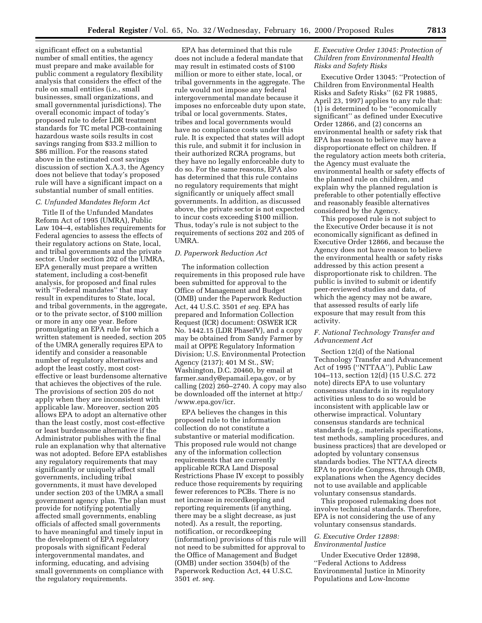significant effect on a substantial number of small entities, the agency must prepare and make available for public comment a regulatory flexibility analysis that considers the effect of the rule on small entities (i.e., small businesses, small organizations, and small governmental jurisdictions). The overall economic impact of today's proposed rule to defer LDR treatment standards for TC metal PCB-containing hazardous waste soils results in cost savings ranging from \$33.2 million to \$86 million. For the reasons stated above in the estimated cost savings discussion of section X.A.3, the Agency does not believe that today's proposed rule will have a significant impact on a substantial number of small entities.

### *C. Unfunded Mandates Reform Act*

Title II of the Unfunded Mandates Reform Act of 1995 (UMRA), Public Law 104–4, establishes requirements for Federal agencies to assess the effects of their regulatory actions on State, local, and tribal governments and the private sector. Under section 202 of the UMRA, EPA generally must prepare a written statement, including a cost-benefit analysis, for proposed and final rules with ''Federal mandates'' that may result in expenditures to State, local, and tribal governments, in the aggregate, or to the private sector, of \$100 million or more in any one year. Before promulgating an EPA rule for which a written statement is needed, section 205 of the UMRA generally requires EPA to identify and consider a reasonable number of regulatory alternatives and adopt the least costly, most costeffective or least burdensome alternative that achieves the objectives of the rule. The provisions of section 205 do not apply when they are inconsistent with applicable law. Moreover, section 205 allows EPA to adopt an alternative other than the least costly, most cost-effective or least burdensome alternative if the Administrator publishes with the final rule an explanation why that alternative was not adopted. Before EPA establishes any regulatory requirements that may significantly or uniquely affect small governments, including tribal governments, it must have developed under section 203 of the UMRA a small government agency plan. The plan must provide for notifying potentially affected small governments, enabling officials of affected small governments to have meaningful and timely input in the development of EPA regulatory proposals with significant Federal intergovernmental mandates, and informing, educating, and advising small governments on compliance with the regulatory requirements.

EPA has determined that this rule does not include a federal mandate that may result in estimated costs of \$100 million or more to either state, local, or tribal governments in the aggregate. The rule would not impose any federal intergovernmental mandate because it imposes no enforceable duty upon state, tribal or local governments. States, tribes and local governments would have no compliance costs under this rule. It is expected that states will adopt this rule, and submit it for inclusion in their authorized RCRA programs, but they have no legally enforceable duty to do so. For the same reasons, EPA also has determined that this rule contains no regulatory requirements that might significantly or uniquely affect small governments. In addition, as discussed above, the private sector is not expected to incur costs exceeding \$100 million. Thus, today's rule is not subject to the requirements of sections 202 and 205 of UMRA.

#### *D. Paperwork Reduction Act*

The information collection requirements in this proposed rule have been submitted for approval to the Office of Management and Budget (OMB) under the Paperwork Reduction Act, 44 U.S.C. 3501 *et seq.* EPA has prepared and Information Collection Request (ICR) document: OSWER ICR No. 1442.15 (LDR PhaseIV), and a copy may be obtained from Sandy Farmer by mail at OPPE Regulatory Information Division; U.S. Environmental Protection Agency (2137); 401 M St., SW; Washington, D.C. 20460, by email at farmer.sandy@epamail.epa.gov, or by calling (202) 260–2740. A copy may also be downloaded off the internet at http:/ /www.epa.gov/icr.

EPA believes the changes in this proposed rule to the information collection do not constitute a substantive or material modification. This proposed rule would not change any of the information collection requirements that are currently applicable RCRA Land Disposal Restrictions Phase IV except to possibly reduce those requirements by requiring fewer references to PCBs. There is no net increase in recordkeeping and reporting requirements (if anything, there may be a slight decrease, as just noted). As a result, the reporting, notification, or recordkeeping (information) provisions of this rule will not need to be submitted for approval to the Office of Management and Budget (OMB) under section 3504(b) of the Paperwork Reduction Act, 44 U.S.C. 3501 *et. seq.*

# *E. Executive Order 13045: Protection of Children from Environmental Health Risks and Safety Risks*

Executive Order 13045: ''Protection of Children from Environmental Health Risks and Safety Risks'' (62 FR 19885, April 23, 1997) applies to any rule that: (1) is determined to be ''economically significant'' as defined under Executive Order 12866, and (2) concerns an environmental health or safety risk that EPA has reason to believe may have a disproportionate effect on children. If the regulatory action meets both criteria, the Agency must evaluate the environmental health or safety effects of the planned rule on children, and explain why the planned regulation is preferable to other potentially effective and reasonably feasible alternatives considered by the Agency.

This proposed rule is not subject to the Executive Order because it is not economically significant as defined in Executive Order 12866, and because the Agency does not have reason to believe the environmental health or safety risks addressed by this action present a disproportionate risk to children. The public is invited to submit or identify peer-reviewed studies and data, of which the agency may not be aware, that assessed results of early life exposure that may result from this activity.

# *F. National Technology Transfer and Advancement Act*

Section 12(d) of the National Technology Transfer and Advancement Act of 1995 (''NTTAA''), Public Law 104–113, section 12(d) (15 U.S.C. 272 note) directs EPA to use voluntary consensus standards in its regulatory activities unless to do so would be inconsistent with applicable law or otherwise impractical. Voluntary consensus standards are technical standards (e.g., materials specifications, test methods, sampling procedures, and business practices) that are developed or adopted by voluntary consensus standards bodies. The NTTAA directs EPA to provide Congress, through OMB, explanations when the Agency decides not to use available and applicable voluntary consensus standards.

This proposed rulemaking does not involve technical standards. Therefore, EPA is not considering the use of any voluntary consensus standards.

# *G. Executive Order 12898: Environmental Justice*

Under Executive Order 12898, ''Federal Actions to Address Environmental Justice in Minority Populations and Low-Income